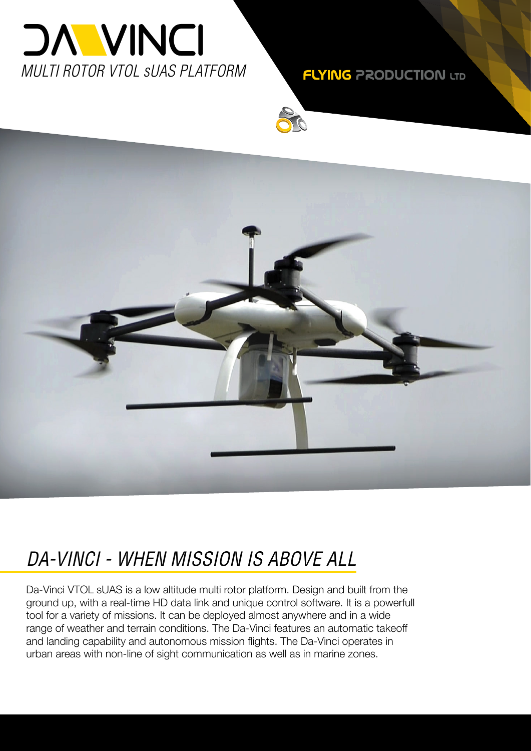

**FLYING PRODUCTION LTD** 



### *DA-VINCI - WHEN MISSION IS ABOVE ALL*

Da-Vinci VTOL sUAS is a low altitude multi rotor platform. Design and built from the ground up, with a real-time HD data link and unique control software. It is a powerfull tool for a variety of missions. It can be deployed almost anywhere and in a wide range of weather and terrain conditions. The Da-Vinci features an automatic takeoff and landing capability and autonomous mission flights. The Da-Vinci operates in urban areas with non-line of sight communication as well as in marine zones.